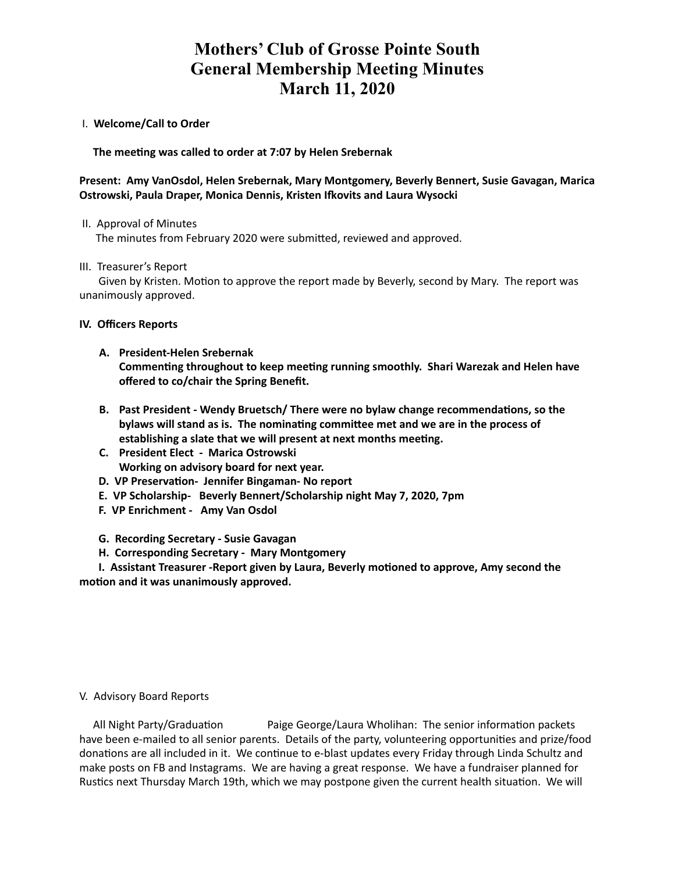# **Mothers' Club of Grosse Pointe South General Membership Meeting Minutes March 11, 2020**

I. **Welcome/Call to Order** 

The meeting was called to order at 7:07 by Helen Srebernak

## **Present: Amy VanOsdol, Helen Srebernak, Mary Montgomery, Beverly Bennert, Susie Gavagan, Marica Ostrowski, Paula Draper, Monica Dennis, Kristen Ifkovits and Laura Wysocki**

II. Approval of Minutes

The minutes from February 2020 were submitted, reviewed and approved.

III. Treasurer's Report

Given by Kristen. Motion to approve the report made by Beverly, second by Mary. The report was unanimously approved.

#### **IV. Officers Reports**

- **A. President-Helen Srebernak**  Commenting throughout to keep meeting running smoothly. Shari Warezak and Helen have **offered to co/chair the Spring Benefit.**
- **B.** Past President Wendy Bruetsch/ There were no bylaw change recommendations, so the bylaws will stand as is. The nominating committee met and we are in the process of establishing a slate that we will present at next months meeting.
- **C. President Elect Marica Ostrowski Working on advisory board for next year.**
- **D. VP Preservation- Jennifer Bingaman- No report**
- **E. VP Scholarship- Beverly Bennert/Scholarship night May 7, 2020, 7pm**
- **F. VP Enrichment Amy Van Osdol**
- **G. Recording Secretary Susie Gavagan**
- **H. Corresponding Secretary Mary Montgomery**

**I. Assistant Treasurer -Report given by Laura, Beverly motioned to approve, Amy second the** motion and it was unanimously approved.

## V. Advisory Board Reports

All Night Party/Graduation Paige George/Laura Wholihan: The senior information packets have been e-mailed to all senior parents. Details of the party, volunteering opportunities and prize/food donations are all included in it. We continue to e-blast updates every Friday through Linda Schultz and make posts on FB and Instagrams. We are having a great response. We have a fundraiser planned for Rustics next Thursday March 19th, which we may postpone given the current health situation. We will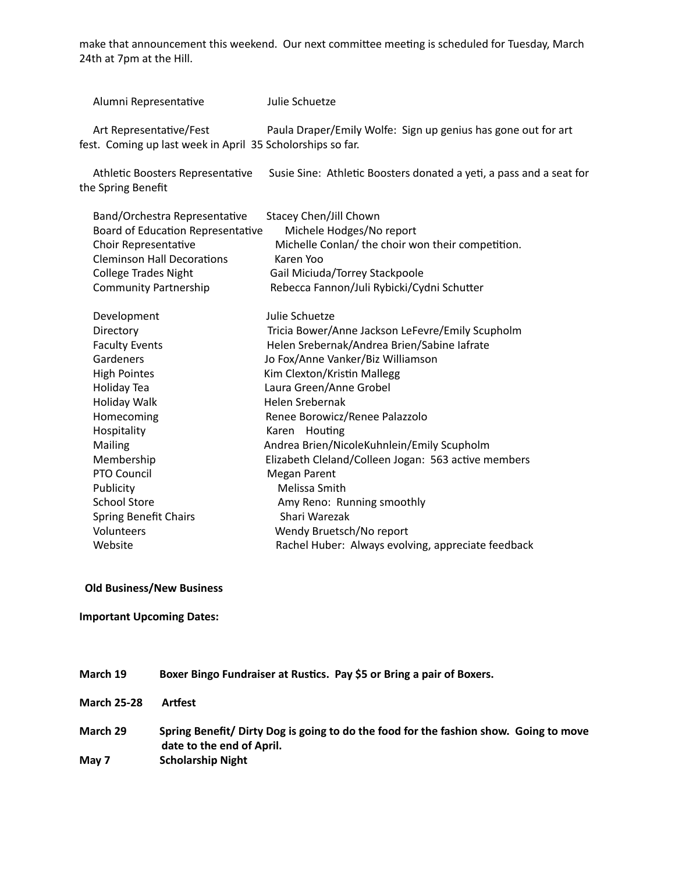make that announcement this weekend. Our next committee meeting is scheduled for Tuesday, March 24th at 7pm at the Hill.

Alumni Representative Julie Schuetze

Art Representative/Fest Paula Draper/Emily Wolfe: Sign up genius has gone out for art fest. Coming up last week in April 35 Scholorships so far.

Athletic Boosters Representative Susie Sine: Athletic Boosters donated a yeti, a pass and a seat for the Spring Benefit

| Band/Orchestra Representative     | Stacey Chen/Jill Chown                              |
|-----------------------------------|-----------------------------------------------------|
| Board of Education Representative | Michele Hodges/No report                            |
| Choir Representative              | Michelle Conlan/ the choir won their competition.   |
| <b>Cleminson Hall Decorations</b> | Karen Yoo                                           |
| <b>College Trades Night</b>       | Gail Miciuda/Torrey Stackpoole                      |
| Community Partnership             | Rebecca Fannon/Juli Rybicki/Cydni Schutter          |
| Development                       | Julie Schuetze                                      |
| Directory                         | Tricia Bower/Anne Jackson LeFevre/Emily Scupholm    |
| <b>Faculty Events</b>             | Helen Srebernak/Andrea Brien/Sabine lafrate         |
| Gardeners                         | Jo Fox/Anne Vanker/Biz Williamson                   |
| <b>High Pointes</b>               | Kim Clexton/Kristin Mallegg                         |
| Holiday Tea                       | Laura Green/Anne Grobel                             |
| Holiday Walk                      | Helen Srebernak                                     |
| Homecoming                        | Renee Borowicz/Renee Palazzolo                      |
| Hospitality                       | Houting<br>Karen                                    |
| Mailing                           | Andrea Brien/NicoleKuhnlein/Emily Scupholm          |
| Membership                        | Elizabeth Cleland/Colleen Jogan: 563 active members |
| PTO Council                       | <b>Megan Parent</b>                                 |
| Publicity                         | Melissa Smith                                       |
| <b>School Store</b>               | Amy Reno: Running smoothly                          |
| <b>Spring Benefit Chairs</b>      | Shari Warezak                                       |
| Volunteers                        | Wendy Bruetsch/No report                            |
| Website                           | Rachel Huber: Always evolving, appreciate feedback  |

**Old Business/New Business**

**Important Upcoming Dates:** 

| March 19           | Boxer Bingo Fundraiser at Rustics. Pay \$5 or Bring a pair of Boxers.                                              |
|--------------------|--------------------------------------------------------------------------------------------------------------------|
| <b>March 25-28</b> | Artfest                                                                                                            |
| March 29           | Spring Benefit/ Dirty Dog is going to do the food for the fashion show. Going to move<br>date to the end of April. |
| May 7              | <b>Scholarship Night</b>                                                                                           |